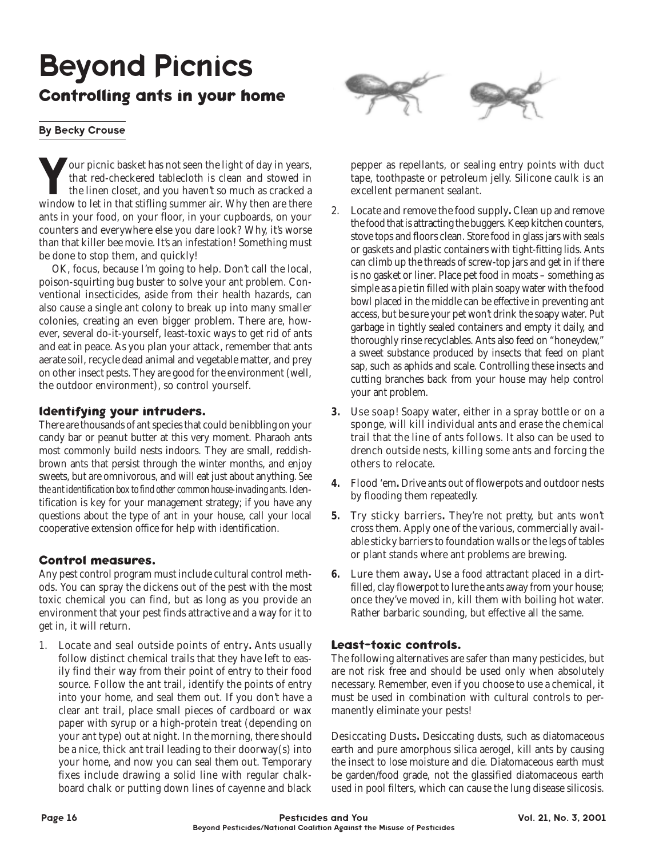# Beyond Picnics **Controlling ants in your home**

#### By Becky Crouse

**Y**our picnic basket has not seen the light of day in years, that red-checkered tablecloth is clean and stowed in the linen closet, and you haven't so much as cracked a window to let in that stifling summer air. Why then are there ants in your food, on your floor, in your cupboards, on your counters and everywhere else you dare look? Why, it's worse than that killer bee movie. It's an infestation! Something must be done to stop them, and quickly!

OK, focus, because I'm going to help. Don't call the local, poison-squirting bug buster to solve your ant problem. Conventional insecticides, aside from their health hazards, can also cause a single ant colony to break up into many smaller colonies, creating an even bigger problem. There are, however, several do-it-yourself, least-toxic ways to get rid of ants and eat in peace. As you plan your attack, remember that ants aerate soil, recycle dead animal and vegetable matter, and prey on other insect pests. They are good for the environment (well, the outdoor environment), so control yourself.

#### **ldentifying your intruders.**

There are thousands of ant species that could be nibbling on your candy bar or peanut butter at this very moment. Pharaoh ants most commonly build nests indoors. They are small, reddishbrown ants that persist through the winter months, and enjoy sweets, but are omnivorous, and will eat just about anything. *See the ant identification box to find other common house-invading ants*. Identification is key for your management strategy; if you have any questions about the type of ant in your house, call your local cooperative extension office for help with identification.

### **Control measures.**

Any pest control program must include cultural control methods. You can spray the dickens out of the pest with the most toxic chemical you can find, but as long as you provide an environment that your pest finds attractive and a way for it to get in, it will return.

1. Locate and seal outside points of entry**.** Ants usually follow distinct chemical trails that they have left to easily find their way from their point of entry to their food source. Follow the ant trail, identify the points of entry into your home, and seal them out. If you don't have a clear ant trail, place small pieces of cardboard or wax paper with syrup or a high-protein treat (depending on your ant type) out at night. In the morning, there should be a nice, thick ant trail leading to their doorway(s) into your home, and now you can seal them out. Temporary fixes include drawing a solid line with regular chalkboard chalk or putting down lines of cayenne and black



pepper as repellants, or sealing entry points with duct tape, toothpaste or petroleum jelly. Silicone caulk is an excellent permanent sealant.

- 2. Locate and remove the food supply**.** Clean up and remove the food that is attracting the buggers. Keep kitchen counters, stove tops and floors clean. Store food in glass jars with seals or gaskets and plastic containers with tight-fitting lids. Ants can climb up the threads of screw-top jars and get in if there is no gasket or liner. Place pet food in moats – something as simple as a pie tin filled with plain soapy water with the food bowl placed in the middle can be effective in preventing ant access, but be sure your pet won't drink the soapy water. Put garbage in tightly sealed containers and empty it daily, and thoroughly rinse recyclables. Ants also feed on "honeydew," a sweet substance produced by insects that feed on plant sap, such as aphids and scale. Controlling these insects and cutting branches back from your house may help control your ant problem.
- **3.** Use soap! Soapy water, either in a spray bottle or on a sponge, will kill individual ants and erase the chemical trail that the line of ants follows. It also can be used to drench outside nests, killing some ants and forcing the others to relocate.
- **4.** Flood 'em**.** Drive ants out of flowerpots and outdoor nests by flooding them repeatedly.
- **5.** Try sticky barriers**.** They're not pretty, but ants won't cross them. Apply one of the various, commercially available sticky barriers to foundation walls or the legs of tables or plant stands where ant problems are brewing.
- **6.** Lure them away**.** Use a food attractant placed in a dirtfilled, clay flowerpot to lure the ants away from your house; once they've moved in, kill them with boiling hot water. Rather barbaric sounding, but effective all the same.

### **Least-toxic controls.**

The following alternatives are safer than many pesticides, but are not risk free and should be used only when absolutely necessary. Remember, even if you choose to use a chemical, it must be used in combination with cultural controls to permanently eliminate your pests!

Desiccating Dusts**.** Desiccating dusts, such as diatomaceous earth and pure amorphous silica aerogel, kill ants by causing the insect to lose moisture and die. Diatomaceous earth must be garden/food grade, not the glassified diatomaceous earth used in pool filters, which can cause the lung disease silicosis.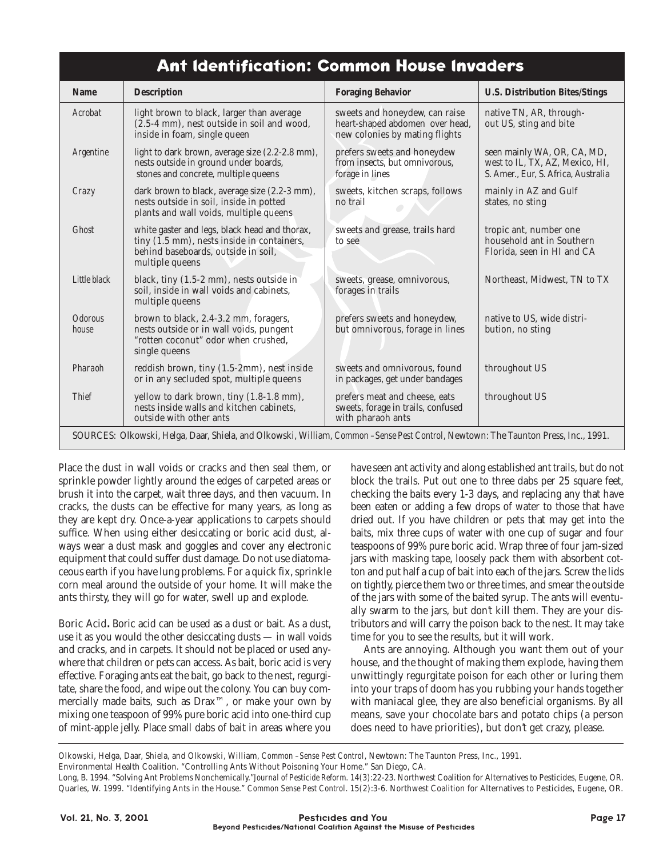## **Ant ldentification: Common House lnvaders**

| <b>Name</b>                                                                                                                        | <b>Description</b>                                                                                                                                               | <b>Foraging Behavior</b>                                                                            | <b>U.S. Distribution Bites/Stings</b>                                                                 |
|------------------------------------------------------------------------------------------------------------------------------------|------------------------------------------------------------------------------------------------------------------------------------------------------------------|-----------------------------------------------------------------------------------------------------|-------------------------------------------------------------------------------------------------------|
| Acrobat                                                                                                                            | light brown to black, larger than average<br>(2.5-4 mm), nest outside in soil and wood,<br>inside in foam, single queen                                          | sweets and honeydew, can raise<br>heart-shaped abdomen over head,<br>new colonies by mating flights | native TN, AR, through-<br>out US, sting and bite                                                     |
| Argentine                                                                                                                          | light to dark brown, average size (2.2-2.8 mm),<br>nests outside in ground under boards,<br>stones and concrete, multiple queens                                 | prefers sweets and honeydew<br>from insects, but omnivorous,<br>forage in lines                     | seen mainly WA, OR, CA, MD,<br>west to IL, TX, AZ, Mexico, HI,<br>S. Amer., Eur, S. Africa, Australia |
| Crazy                                                                                                                              | dark brown to black, average size (2.2-3 mm),<br>nests outside in soil, inside in potted<br>plants and wall voids, multiple queens                               | sweets, kitchen scraps, follows<br>no trail                                                         | mainly in AZ and Gulf<br>states, no sting                                                             |
| <b>Ghost</b>                                                                                                                       | white gaster and legs, black head and thorax,<br>tiny $(1.5 \text{ mm})$ , nests inside in containers,<br>behind baseboards, outside in soil,<br>multiple queens | sweets and grease, trails hard<br>to see                                                            | tropic ant, number one<br>household ant in Southern<br>Florida, seen in HI and CA                     |
| Little black                                                                                                                       | black, tiny (1.5-2 mm), nests outside in<br>soil, inside in wall voids and cabinets,<br>multiple queens                                                          | sweets, grease, omnivorous,<br>forages in trails                                                    | Northeast, Midwest, TN to TX                                                                          |
| <i><b>Odorous</b></i><br>house                                                                                                     | brown to black, 2.4-3.2 mm, foragers,<br>nests outside or in wall voids, pungent<br>"rotten coconut" odor when crushed,<br>single queens                         | prefers sweets and honeydew,<br>but omnivorous, forage in lines                                     | native to US, wide distri-<br>bution, no sting                                                        |
| Pharaoh                                                                                                                            | reddish brown, tiny (1.5-2mm), nest inside<br>or in any secluded spot, multiple queens                                                                           | sweets and omnivorous, found<br>in packages, get under bandages                                     | throughout US                                                                                         |
| <b>Thief</b>                                                                                                                       | yellow to dark brown, tiny (1.8-1.8 mm),<br>nests inside walls and kitchen cabinets,<br>outside with other ants                                                  | prefers meat and cheese, eats<br>sweets, forage in trails, confused<br>with pharaoh ants            | throughout US                                                                                         |
| SOURCES: Olkowski, Helga, Daar, Shiela, and Olkowski, William, Common -Sense Pest Control, Newtown: The Taunton Press, Inc., 1991. |                                                                                                                                                                  |                                                                                                     |                                                                                                       |

Place the dust in wall voids or cracks and then seal them, or sprinkle powder lightly around the edges of carpeted areas or brush it into the carpet, wait three days, and then vacuum. In cracks, the dusts can be effective for many years, as long as they are kept dry. Once-a-year applications to carpets should suffice. When using either desiccating or boric acid dust, always wear a dust mask and goggles and cover any electronic equipment that could suffer dust damage. Do not use diatomaceous earth if you have lung problems. For a quick fix, sprinkle corn meal around the outside of your home. It will make the ants thirsty, they will go for water, swell up and explode.

Boric Acid**.** Boric acid can be used as a dust or bait. As a dust, use it as you would the other desiccating dusts — in wall voids and cracks, and in carpets. It should not be placed or used anywhere that children or pets can access. As bait, boric acid is very effective. Foraging ants eat the bait, go back to the nest, regurgitate, share the food, and wipe out the colony. You can buy commercially made baits, such as Drax™, or make your own by mixing one teaspoon of 99% pure boric acid into one-third cup of mint-apple jelly. Place small dabs of bait in areas where you

have seen ant activity and along established ant trails, but do not block the trails. Put out one to three dabs per 25 square feet, checking the baits every 1-3 days, and replacing any that have been eaten or adding a few drops of water to those that have dried out. If you have children or pets that may get into the baits, mix three cups of water with one cup of sugar and four teaspoons of 99% pure boric acid. Wrap three of four jam-sized jars with masking tape, loosely pack them with absorbent cotton and put half a cup of bait into each of the jars. Screw the lids on tightly, pierce them two or three times, and smear the outside of the jars with some of the baited syrup. The ants will eventually swarm to the jars, but don't kill them. They are your distributors and will carry the poison back to the nest. It may take time for you to see the results, but it will work.

Ants are annoying. Although you want them out of your house, and the thought of making them explode, having them unwittingly regurgitate poison for each other or luring them into your traps of doom has you rubbing your hands together with maniacal glee, they are also beneficial organisms. By all means, save your chocolate bars and potato chips (a person does need to have priorities), but don't get crazy, please.

Olkowski, Helga, Daar, Shiela, and Olkowski, William, *Common –Sense Pest Control*, Newtown: The Taunton Press, Inc., 1991.

Environmental Health Coalition. "Controlling Ants Without Poisoning Your Home." San Diego, CA.

Long, B. 1994. "Solving Ant Problems Nonchemically."*Journal of Pesticide Reform*. 14(3):22-23. Northwest Coalition for Alternatives to Pesticides, Eugene, OR. Quarles, W. 1999. "Identifying Ants in the House." *Common Sense Pest Control*. 15(2):3-6. Northwest Coalition for Alternatives to Pesticides, Eugene, OR.